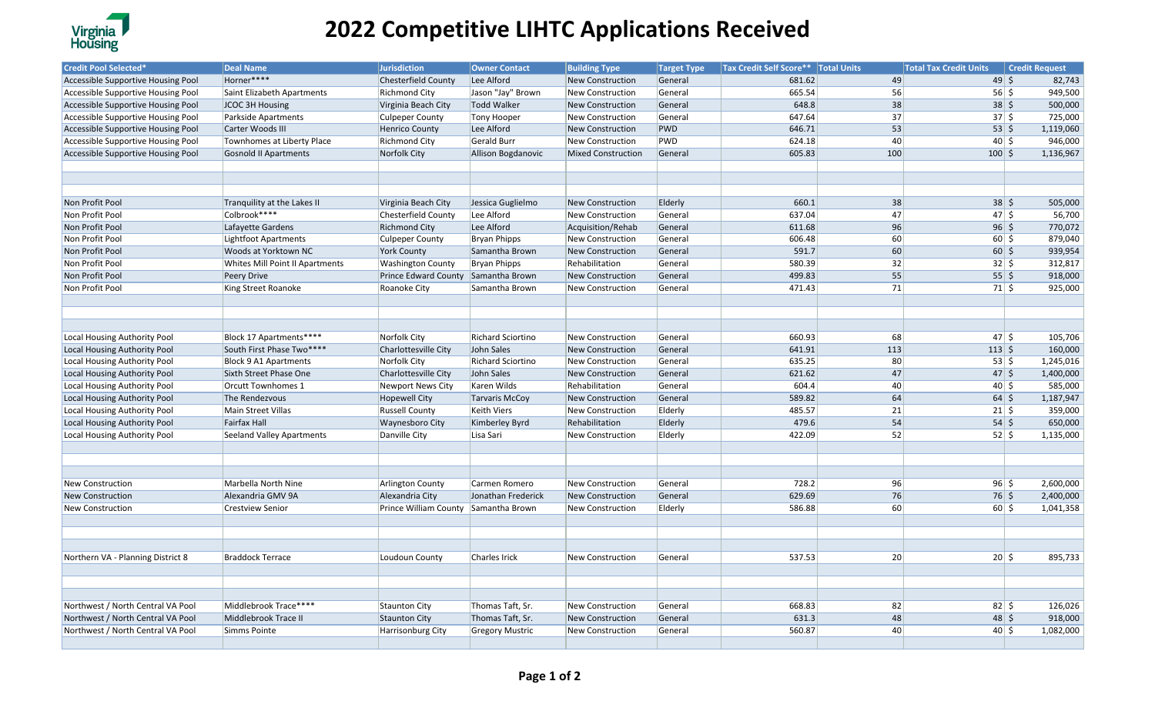

## **2022 Competitive LIHTC Applications Received**

| <b>Credit Pool Selected*</b>        | <b>Deal Name</b>                 | <b>Jurisdiction</b>                  | <b>Owner Contact</b>     | <b>Building Type</b>      | <b>Target Type</b> | <b>Tax Credit Self Score** Total Units</b> |                 | <b>Total Tax Credit Units</b>         | <b>Credit Request</b> |           |
|-------------------------------------|----------------------------------|--------------------------------------|--------------------------|---------------------------|--------------------|--------------------------------------------|-----------------|---------------------------------------|-----------------------|-----------|
| Accessible Supportive Housing Pool  | Horner****                       | Chesterfield County                  | Lee Alford               | New Construction          | General            | 681.62                                     | 49              | $49 \mid 5$                           |                       | 82,743    |
| Accessible Supportive Housing Pool  | Saint Elizabeth Apartments       | <b>Richmond City</b>                 | Jason "Jay" Brown        | New Construction          | General            | 665.54                                     | 56              | $56 \mid \frac{2}{5}$                 |                       | 949,500   |
| Accessible Supportive Housing Pool  | JCOC 3H Housing                  | Virginia Beach City                  | Todd Walker              | <b>New Construction</b>   | General            | 648.8                                      | 38              | $38 \mid 5$                           |                       | 500,000   |
| Accessible Supportive Housing Pool  | Parkside Apartments              | <b>Culpeper County</b>               | Tony Hooper              | New Construction          | General            | 647.64                                     | $\overline{37}$ | $37 \mid 5$                           |                       | 725,000   |
| Accessible Supportive Housing Pool  | Carter Woods III                 | <b>Henrico County</b>                | Lee Alford               | New Construction          | PWD                | 646.71                                     | 53              | $53 \mid 5$                           |                       | 1,119,060 |
| Accessible Supportive Housing Pool  | Townhomes at Liberty Place       | <b>Richmond City</b>                 | Gerald Burr              | New Construction          | PWD                | 624.18                                     | 40              | $40 \mid 5$                           |                       | 946,000   |
| Accessible Supportive Housing Pool  | <b>Gosnold II Apartments</b>     | Norfolk City                         | Allison Bogdanovic       | <b>Mixed Construction</b> | General            | 605.83                                     | 100             | $100 \le$                             |                       | 1,136,967 |
|                                     |                                  |                                      |                          |                           |                    |                                            |                 |                                       |                       |           |
|                                     |                                  |                                      |                          |                           |                    |                                            |                 |                                       |                       |           |
|                                     |                                  |                                      |                          |                           |                    |                                            |                 |                                       |                       |           |
| Non Profit Pool                     | Tranquility at the Lakes II      | Virginia Beach City                  | Jessica Guglielmo        | <b>New Construction</b>   | Elderly            | 660.1                                      | 38              | $38 \mid 5$                           |                       | 505,000   |
| Non Profit Pool                     | Colbrook****                     | <b>Chesterfield County</b>           | Lee Alford               | New Construction          | General            | 637.04                                     | 47              | 47 5                                  |                       | 56,700    |
| Non Profit Pool                     | Lafayette Gardens                | <b>Richmond City</b>                 | Lee Alford               | Acquisition/Rehab         | General            | 611.68                                     | 96              | $96 \mid 5$                           |                       | 770,072   |
| Non Profit Pool                     | Lightfoot Apartments             | <b>Culpeper County</b>               | Bryan Phipps             | New Construction          | General            | 606.48                                     | 60              | $60 \mid 5$                           |                       | 879,040   |
| Non Profit Pool                     | Woods at Yorktown NC             | <b>York County</b>                   | Samantha Brown           | <b>New Construction</b>   | General            | 591.7                                      | 60              | $60 \leq$                             |                       | 939,954   |
| Non Profit Pool                     | Whites Mill Point II Apartments  | <b>Washington County</b>             | Bryan Phipps             | Rehabilitation            | General            | 580.39                                     | 32              | $32 \mid 5$                           |                       | 312,817   |
| Non Profit Pool                     | Peery Drive                      | Prince Edward County Samantha Brown  |                          | <b>New Construction</b>   | General            | 499.83                                     | 55              | $55 \mid 5$                           |                       | 918,000   |
| Non Profit Pool                     | King Street Roanoke              | Roanoke City                         | Samantha Brown           | <b>New Construction</b>   | General            | 471.43                                     | 71              | $71 \mid \xi$                         |                       | 925,000   |
|                                     |                                  |                                      |                          |                           |                    |                                            |                 |                                       |                       |           |
|                                     |                                  |                                      |                          |                           |                    |                                            |                 |                                       |                       |           |
|                                     |                                  |                                      |                          |                           |                    |                                            |                 |                                       |                       |           |
| <b>Local Housing Authority Pool</b> | Block 17 Apartments****          | Norfolk City                         | <b>Richard Sciortino</b> | <b>New Construction</b>   | General            | 660.93                                     | 68              | $47 \mid \xi$                         |                       | 105,706   |
| Local Housing Authority Pool        | South First Phase Two****        | Charlottesville City                 | John Sales               | <b>New Construction</b>   | General            | 641.91                                     | 113             | $113 \mid 5$                          |                       | 160,000   |
| Local Housing Authority Pool        | <b>Block 9 A1 Apartments</b>     | Norfolk City                         | Richard Sciortino        | New Construction          | General            | 635.25                                     | 80              | 53 5                                  |                       | 1,245,016 |
| Local Housing Authority Pool        | Sixth Street Phase One           | Charlottesville City                 | John Sales               | <b>New Construction</b>   | General            | 621.62                                     | 47              | $47 \mid 5$                           |                       | 1,400,000 |
| Local Housing Authority Pool        | Orcutt Townhomes 1               | <b>Newport News City</b>             | Karen Wilds              | Rehabilitation            | General            | 604.4                                      | 40              | $40 \mid \xi$                         |                       | 585,000   |
| <b>Local Housing Authority Pool</b> | The Rendezvous                   | <b>Hopewell City</b>                 | <b>Tarvaris McCoy</b>    | <b>New Construction</b>   | General            | 589.82                                     | 64              | $64 \overline{\smash{5}}$             |                       | 1,187,947 |
| Local Housing Authority Pool        | Main Street Villas               | <b>Russell County</b>                | Keith Viers              | New Construction          | Elderly            | 485.57                                     | 21              | $21 \mid 5$                           |                       | 359,000   |
| Local Housing Authority Pool        | <b>Fairfax Hall</b>              | <b>Waynesboro City</b>               | Kimberley Byrd           | Rehabilitation            | Elderly            | 479.6                                      | 54              | $54 \overline{\smash{\big)} }$        |                       | 650,000   |
| Local Housing Authority Pool        | <b>Seeland Valley Apartments</b> | Danville City                        | Lisa Sari                | <b>New Construction</b>   | Elderly            | 422.09                                     | 52              | $52 \mid 5$                           |                       | 1,135,000 |
|                                     |                                  |                                      |                          |                           |                    |                                            |                 |                                       |                       |           |
|                                     |                                  |                                      |                          |                           |                    |                                            |                 |                                       |                       |           |
|                                     |                                  |                                      |                          |                           |                    |                                            |                 |                                       |                       |           |
| <b>New Construction</b>             | Marbella North Nine              | <b>Arlington County</b>              | Carmen Romero            | <b>New Construction</b>   | General            | 728.2                                      | 96              | $96 \mid 5$                           |                       | 2,600,000 |
| <b>New Construction</b>             | Alexandria GMV 9A                | Alexandria City                      | Jonathan Frederick       | New Construction          | General            | 629.69                                     | 76              | $76\overline{\smash{\big)}\smash{5}}$ |                       | 2,400,000 |
| <b>New Construction</b>             | <b>Crestview Senior</b>          | Prince William County Samantha Brown |                          | New Construction          | Elderly            | 586.88                                     | 60              | $60 \mid 5$                           |                       | 1,041,358 |
|                                     |                                  |                                      |                          |                           |                    |                                            |                 |                                       |                       |           |
|                                     |                                  |                                      |                          |                           |                    |                                            |                 |                                       |                       |           |
|                                     |                                  |                                      |                          |                           |                    |                                            |                 |                                       |                       |           |
| Northern VA - Planning District 8   | <b>Braddock Terrace</b>          | Loudoun County                       | Charles Irick            | <b>New Construction</b>   | General            | 537.53                                     | 20              | $20 \mid 5$                           |                       | 895,733   |
|                                     |                                  |                                      |                          |                           |                    |                                            |                 |                                       |                       |           |
|                                     |                                  |                                      |                          |                           |                    |                                            |                 |                                       |                       |           |
|                                     |                                  |                                      |                          |                           |                    |                                            |                 |                                       |                       |           |
| Northwest / North Central VA Pool   | Middlebrook Trace****            | <b>Staunton City</b>                 | Thomas Taft, Sr.         | New Construction          | General            | 668.83                                     | 82              | $82 \mid \zeta$                       |                       | 126,026   |
| Northwest / North Central VA Pool   | Middlebrook Trace II             | <b>Staunton City</b>                 | Thomas Taft, Sr.         | <b>New Construction</b>   | General            | 631.3                                      | 48              | $48 \frac{1}{2}$                      |                       | 918,000   |
| Northwest / North Central VA Pool   | Simms Pointe                     | Harrisonburg City                    | <b>Gregory Mustric</b>   | New Construction          | General            | 560.87                                     | 40              | $40 \mid \zeta$                       |                       | 1,082,000 |
|                                     |                                  |                                      |                          |                           |                    |                                            |                 |                                       |                       |           |